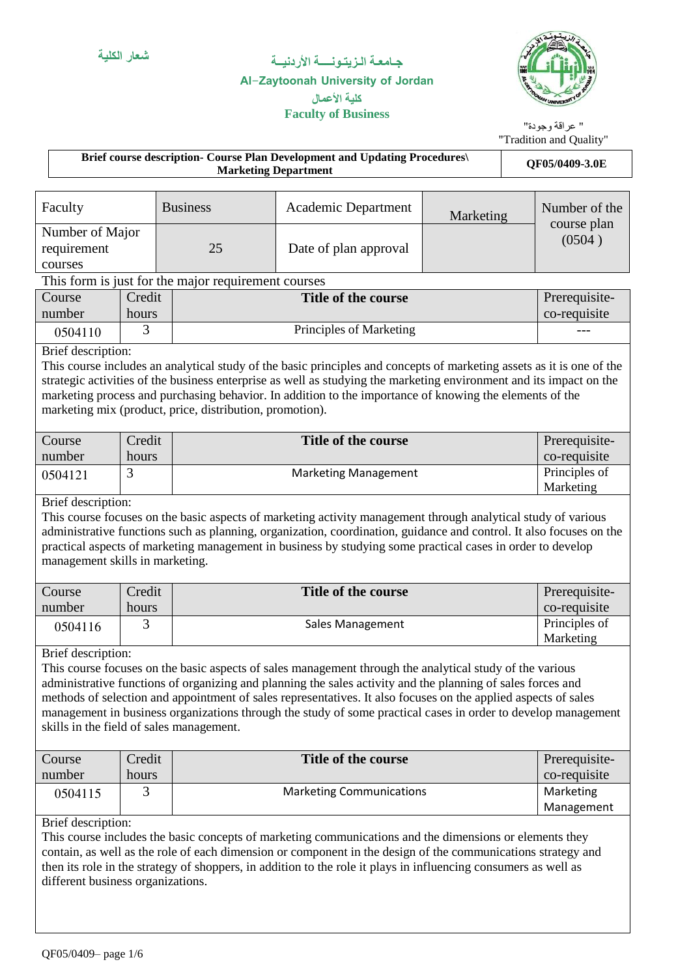**Faculty of Business**

### **Al-Zaytoonah University of Jordan كلية األعمال**



" عراقة وجودة"

#### "Tradition and Quality" **Brief course description- Course Plan Development and Updating Procedures\** ourse Flan Development and Opdating Frocedures<br>Marketing Department Number of the course plan  $(0504)$ Faculty Business | Academic Department | Marketing 25 Date of plan approval Number of Major requirement courses This form is just for the major requirement courses Prerequisiteco-requisite Credit **Title of the course** hours Course number 0.504110 3 3 Principles of Marketing Brief description: This course includes an analytical study of the basic principles and concepts of marketing assets as it is one of the strategic activities of the business enterprise as well as studying the marketing environment and its impact on the marketing process and purchasing behavior. In addition to the importance of knowing the elements of the marketing mix (product, price, distribution, promotion). Prerequisiteco-requisite Credit **Title of the course** hours Course number Principles of Marketing 0504121 3 | Marketing Management Brief description: This course focuses on the basic aspects of marketing activity management through analytical study of various administrative functions such as planning, organization, coordination, guidance and control. It also focuses on the practical aspects of marketing management in business by studying some practical cases in order to develop management skills in marketing. Prerequisiteco-requisite **Title of the course** hours Course number Principles of Marketing 0504116 3 3 Sales Management Brief description: This course focuses on the basic aspects of sales management through the analytical study of the various administrative functions of organizing and planning the sales activity and the planning of sales forces and methods of selection and appointment of sales representatives. It also focuses on the applied aspects of sales management in business organizations through the study of some practical cases in order to develop management skills in the field of sales management. Prerequisiteco-requisite Credit **Title of the course** hours Course number Marketing Management 0504115 3 3 Marketing Communications Brief description: This course includes the basic concepts of marketing communications and the dimensions or elements they contain, as well as the role of each dimension or component in the design of the communications strategy and then its role in the strategy of shoppers, in addition to the role it plays in influencing consumers as well as different business organizations.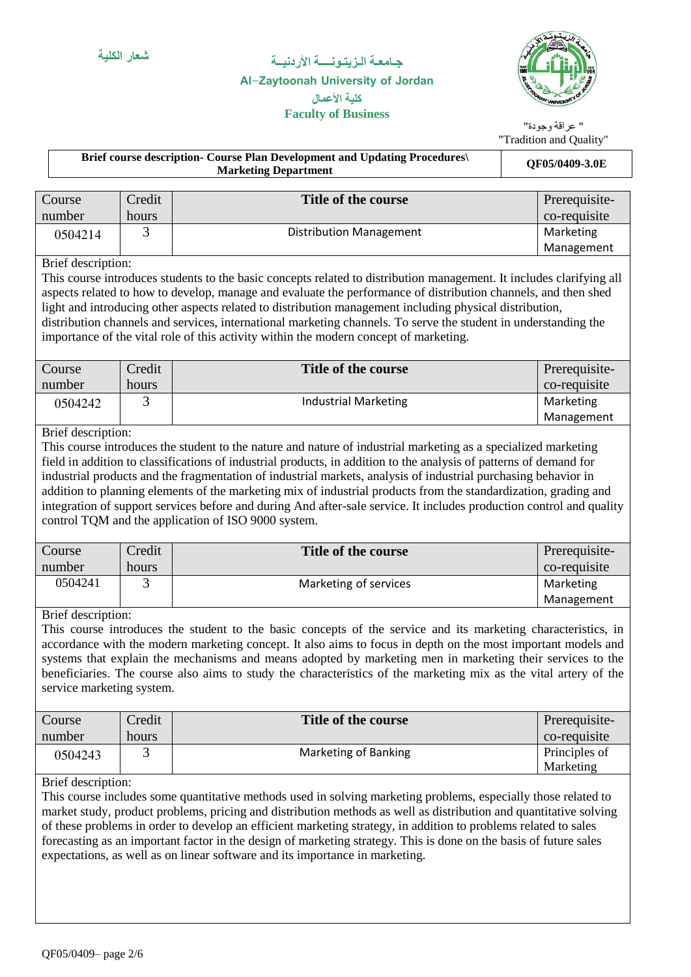### **Al-Zaytoonah University of Jordan كلية األعمال**

**Faculty of Business**



" عراقة وجودة" "Tradition and Quality"

|                                                 |        | Brief course description- Course Plan Development and Updating Procedures\<br><b>Marketing Department</b>                                                                                                                                                                                                                                                                                                                                                                                                                                                                                                                                                | rradhii und Quant<br>QF05/0409-3.0E |  |
|-------------------------------------------------|--------|----------------------------------------------------------------------------------------------------------------------------------------------------------------------------------------------------------------------------------------------------------------------------------------------------------------------------------------------------------------------------------------------------------------------------------------------------------------------------------------------------------------------------------------------------------------------------------------------------------------------------------------------------------|-------------------------------------|--|
|                                                 |        |                                                                                                                                                                                                                                                                                                                                                                                                                                                                                                                                                                                                                                                          |                                     |  |
| Course                                          | Credit | <b>Title of the course</b>                                                                                                                                                                                                                                                                                                                                                                                                                                                                                                                                                                                                                               | Prerequisite-                       |  |
| number                                          | hours  |                                                                                                                                                                                                                                                                                                                                                                                                                                                                                                                                                                                                                                                          | co-requisite                        |  |
| 0504214                                         | 3      | <b>Distribution Management</b>                                                                                                                                                                                                                                                                                                                                                                                                                                                                                                                                                                                                                           | Marketing                           |  |
|                                                 |        |                                                                                                                                                                                                                                                                                                                                                                                                                                                                                                                                                                                                                                                          | Management                          |  |
| Brief description:                              |        | This course introduces students to the basic concepts related to distribution management. It includes clarifying all<br>aspects related to how to develop, manage and evaluate the performance of distribution channels, and then shed<br>light and introducing other aspects related to distribution management including physical distribution,<br>distribution channels and services, international marketing channels. To serve the student in understanding the<br>importance of the vital role of this activity within the modern concept of marketing.                                                                                            |                                     |  |
| Course                                          | Credit | Title of the course                                                                                                                                                                                                                                                                                                                                                                                                                                                                                                                                                                                                                                      | Prerequisite-                       |  |
| number                                          | hours  |                                                                                                                                                                                                                                                                                                                                                                                                                                                                                                                                                                                                                                                          | co-requisite                        |  |
| 0504242                                         | 3      | <b>Industrial Marketing</b>                                                                                                                                                                                                                                                                                                                                                                                                                                                                                                                                                                                                                              | Marketing                           |  |
|                                                 |        |                                                                                                                                                                                                                                                                                                                                                                                                                                                                                                                                                                                                                                                          | Management                          |  |
| Brief description:                              |        | This course introduces the student to the nature and nature of industrial marketing as a specialized marketing<br>field in addition to classifications of industrial products, in addition to the analysis of patterns of demand for<br>industrial products and the fragmentation of industrial markets, analysis of industrial purchasing behavior in<br>addition to planning elements of the marketing mix of industrial products from the standardization, grading and<br>integration of support services before and during And after-sale service. It includes production control and quality<br>control TQM and the application of ISO 9000 system. |                                     |  |
| Course                                          | Credit | Title of the course                                                                                                                                                                                                                                                                                                                                                                                                                                                                                                                                                                                                                                      | Prerequisite-                       |  |
| number                                          | hours  |                                                                                                                                                                                                                                                                                                                                                                                                                                                                                                                                                                                                                                                          | co-requisite                        |  |
| 0504241                                         | 3      | Marketing of services                                                                                                                                                                                                                                                                                                                                                                                                                                                                                                                                                                                                                                    | Marketing                           |  |
|                                                 |        |                                                                                                                                                                                                                                                                                                                                                                                                                                                                                                                                                                                                                                                          | Management                          |  |
| Brief description:<br>service marketing system. |        | This course introduces the student to the basic concepts of the service and its marketing characteristics, in<br>accordance with the modern marketing concept. It also aims to focus in depth on the most important models and<br>systems that explain the mechanisms and means adopted by marketing men in marketing their services to the<br>beneficiaries. The course also aims to study the characteristics of the marketing mix as the vital artery of the                                                                                                                                                                                          |                                     |  |
| Course                                          | Credit | Title of the course                                                                                                                                                                                                                                                                                                                                                                                                                                                                                                                                                                                                                                      | Prerequisite-                       |  |
| number                                          | hours  |                                                                                                                                                                                                                                                                                                                                                                                                                                                                                                                                                                                                                                                          | co-requisite                        |  |
| 0504243                                         | 3      | <b>Marketing of Banking</b>                                                                                                                                                                                                                                                                                                                                                                                                                                                                                                                                                                                                                              | Principles of<br>Marketing          |  |
| Brief description:                              |        | This course includes some quantitative methods used in solving marketing problems, especially those related to<br>market study, product problems, pricing and distribution methods as well as distribution and quantitative solving<br>of these problems in order to develop an efficient marketing strategy, in addition to problems related to sales<br>forecasting as an important factor in the design of marketing strategy. This is done on the basis of future sales<br>expectations, as well as on linear software and its importance in marketing.                                                                                              |                                     |  |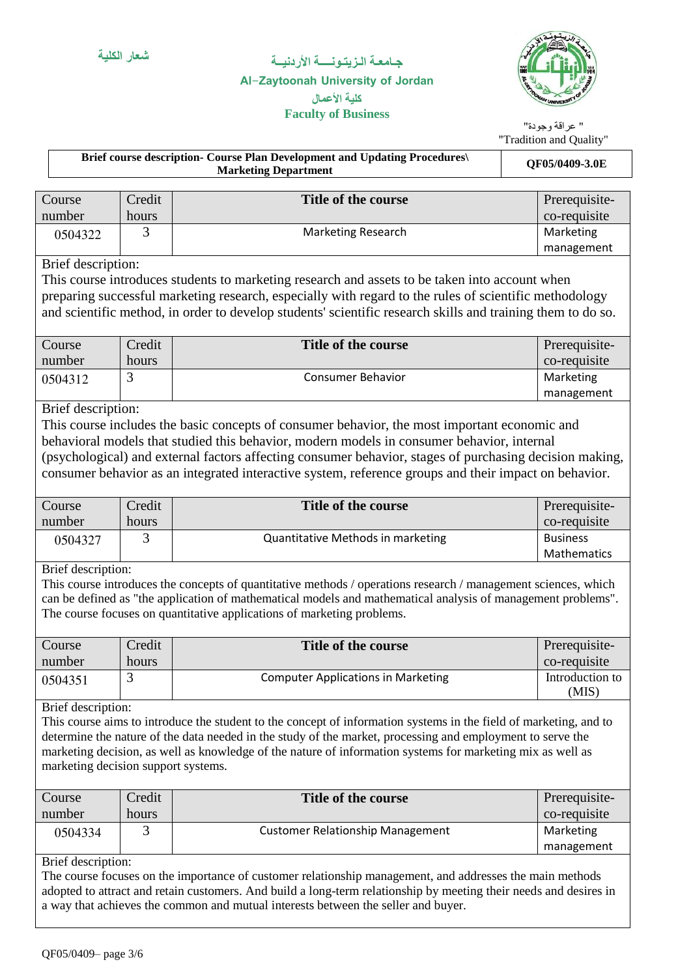### **Al-Zaytoonah University of Jordan كلية األعمال**

**Faculty of Business**



#### " عراقة وجودة" "Tradition and Quality"

|                                     |        | Brief course description- Course Plan Development and Updating Procedures\<br><b>Marketing Department</b>                                                                                                                       |  | QF05/0409-3.0E  |  |
|-------------------------------------|--------|---------------------------------------------------------------------------------------------------------------------------------------------------------------------------------------------------------------------------------|--|-----------------|--|
|                                     |        |                                                                                                                                                                                                                                 |  |                 |  |
| Course                              | Credit | Title of the course                                                                                                                                                                                                             |  | Prerequisite-   |  |
| number                              | hours  |                                                                                                                                                                                                                                 |  | co-requisite    |  |
| 0504322                             | 3      | <b>Marketing Research</b>                                                                                                                                                                                                       |  | Marketing       |  |
|                                     |        |                                                                                                                                                                                                                                 |  | management      |  |
| Brief description:                  |        |                                                                                                                                                                                                                                 |  |                 |  |
|                                     |        | This course introduces students to marketing research and assets to be taken into account when                                                                                                                                  |  |                 |  |
|                                     |        | preparing successful marketing research, especially with regard to the rules of scientific methodology                                                                                                                          |  |                 |  |
|                                     |        | and scientific method, in order to develop students' scientific research skills and training them to do so.                                                                                                                     |  |                 |  |
|                                     |        |                                                                                                                                                                                                                                 |  |                 |  |
| Course                              | Credit | Title of the course                                                                                                                                                                                                             |  | Prerequisite-   |  |
| number                              | hours  |                                                                                                                                                                                                                                 |  | co-requisite    |  |
| 0504312                             | 3      | <b>Consumer Behavior</b>                                                                                                                                                                                                        |  | Marketing       |  |
|                                     |        |                                                                                                                                                                                                                                 |  | management      |  |
| Brief description:                  |        |                                                                                                                                                                                                                                 |  |                 |  |
|                                     |        | This course includes the basic concepts of consumer behavior, the most important economic and                                                                                                                                   |  |                 |  |
|                                     |        | behavioral models that studied this behavior, modern models in consumer behavior, internal                                                                                                                                      |  |                 |  |
|                                     |        | (psychological) and external factors affecting consumer behavior, stages of purchasing decision making,                                                                                                                         |  |                 |  |
|                                     |        | consumer behavior as an integrated interactive system, reference groups and their impact on behavior.                                                                                                                           |  |                 |  |
|                                     |        |                                                                                                                                                                                                                                 |  |                 |  |
| Course                              | Credit | Title of the course                                                                                                                                                                                                             |  | Prerequisite-   |  |
| number                              | hours  |                                                                                                                                                                                                                                 |  | co-requisite    |  |
| 0504327                             | 3      | Quantitative Methods in marketing                                                                                                                                                                                               |  | <b>Business</b> |  |
|                                     |        |                                                                                                                                                                                                                                 |  | Mathematics     |  |
| Brief description:                  |        |                                                                                                                                                                                                                                 |  |                 |  |
|                                     |        | This course introduces the concepts of quantitative methods / operations research / management sciences, which                                                                                                                  |  |                 |  |
|                                     |        | can be defined as "the application of mathematical models and mathematical analysis of management problems".                                                                                                                    |  |                 |  |
|                                     |        | The course focuses on quantitative applications of marketing problems.                                                                                                                                                          |  |                 |  |
|                                     |        |                                                                                                                                                                                                                                 |  |                 |  |
| Course                              | Credit | <b>Title of the course</b>                                                                                                                                                                                                      |  | Prerequisite-   |  |
| number                              | hours  |                                                                                                                                                                                                                                 |  | co-requisite    |  |
| 0504351                             | 3      | <b>Computer Applications in Marketing</b>                                                                                                                                                                                       |  | Introduction to |  |
|                                     |        |                                                                                                                                                                                                                                 |  | (MIS)           |  |
| Brief description:                  |        |                                                                                                                                                                                                                                 |  |                 |  |
|                                     |        | This course aims to introduce the student to the concept of information systems in the field of marketing, and to<br>determine the nature of the data needed in the study of the market, processing and employment to serve the |  |                 |  |
|                                     |        | marketing decision, as well as knowledge of the nature of information systems for marketing mix as well as                                                                                                                      |  |                 |  |
| marketing decision support systems. |        |                                                                                                                                                                                                                                 |  |                 |  |
|                                     |        |                                                                                                                                                                                                                                 |  |                 |  |
| Course                              | Credit | Title of the course                                                                                                                                                                                                             |  | Prerequisite-   |  |
| number                              | hours  |                                                                                                                                                                                                                                 |  | co-requisite    |  |
| 0504334                             | 3      | <b>Customer Relationship Management</b>                                                                                                                                                                                         |  | Marketing       |  |
|                                     |        |                                                                                                                                                                                                                                 |  | management      |  |
| Brief description:                  |        |                                                                                                                                                                                                                                 |  |                 |  |
|                                     |        | The course focuses on the importance of customer relationship management, and addresses the main methods                                                                                                                        |  |                 |  |
|                                     |        |                                                                                                                                                                                                                                 |  |                 |  |

adopted to attract and retain customers. And build a long-term relationship by meeting their needs and desires in a way that achieves the common and mutual interests between the seller and buyer.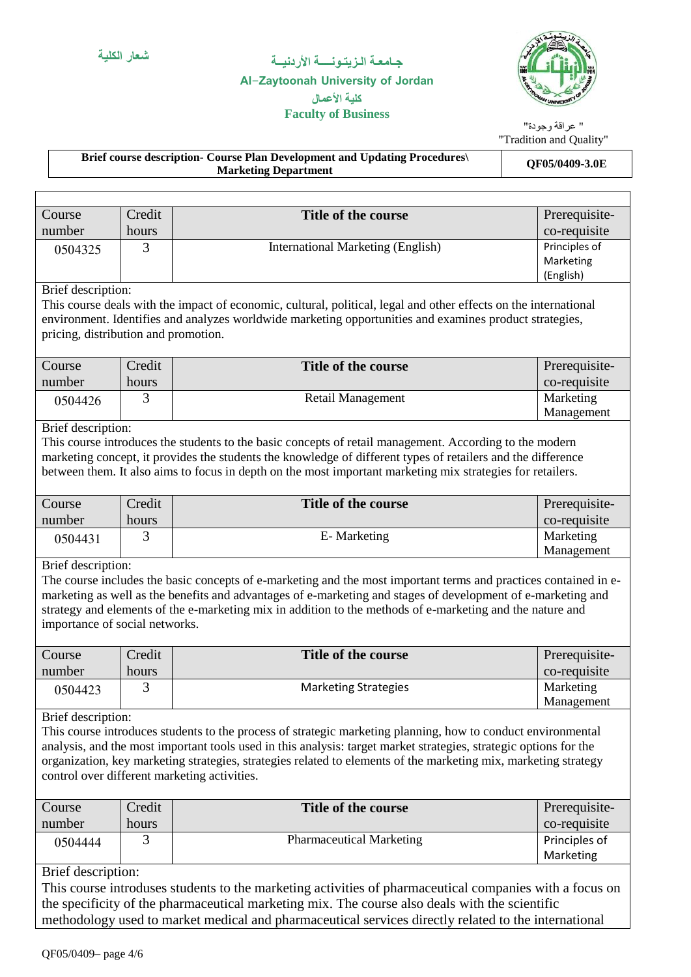**Faculty of Business**

### **Al-Zaytoonah University of Jordan كلية األعمال**



" عراقة وجودة" "Tradition and Quality"

**Brief course description- Course Plan Development and Updating Procedures\** ourse Plan Development and Updating Procedures\<br>Marketing Department

| Course                               | Credit | <b>Title of the course</b>                                                                                                                                                                                                           | Prerequisite- |
|--------------------------------------|--------|--------------------------------------------------------------------------------------------------------------------------------------------------------------------------------------------------------------------------------------|---------------|
| number                               | hours  |                                                                                                                                                                                                                                      | co-requisite  |
| 0504325                              | 3      | <b>International Marketing (English)</b>                                                                                                                                                                                             | Principles of |
|                                      |        |                                                                                                                                                                                                                                      | Marketing     |
|                                      |        |                                                                                                                                                                                                                                      | (English)     |
| Brief description:                   |        |                                                                                                                                                                                                                                      |               |
|                                      |        | This course deals with the impact of economic, cultural, political, legal and other effects on the international                                                                                                                     |               |
| pricing, distribution and promotion. |        | environment. Identifies and analyzes worldwide marketing opportunities and examines product strategies,                                                                                                                              |               |
|                                      |        |                                                                                                                                                                                                                                      |               |
| Course                               | Credit | <b>Title of the course</b>                                                                                                                                                                                                           | Prerequisite- |
| number                               | hours  |                                                                                                                                                                                                                                      | co-requisite  |
| 0504426                              | 3      | Retail Management                                                                                                                                                                                                                    | Marketing     |
|                                      |        |                                                                                                                                                                                                                                      | Management    |
| Brief description:                   |        |                                                                                                                                                                                                                                      |               |
|                                      |        | This course introduces the students to the basic concepts of retail management. According to the modern                                                                                                                              |               |
|                                      |        | marketing concept, it provides the students the knowledge of different types of retailers and the difference                                                                                                                         |               |
|                                      |        | between them. It also aims to focus in depth on the most important marketing mix strategies for retailers.                                                                                                                           |               |
|                                      |        |                                                                                                                                                                                                                                      |               |
| Course                               | Credit | <b>Title of the course</b>                                                                                                                                                                                                           | Prerequisite- |
| number                               | hours  |                                                                                                                                                                                                                                      | co-requisite  |
| 0504431                              | 3      | E-Marketing                                                                                                                                                                                                                          | Marketing     |
|                                      |        |                                                                                                                                                                                                                                      | Management    |
| Brief description:                   |        | The course includes the basic concepts of e-marketing and the most important terms and practices contained in e-                                                                                                                     |               |
|                                      |        | marketing as well as the benefits and advantages of e-marketing and stages of development of e-marketing and                                                                                                                         |               |
|                                      |        | strategy and elements of the e-marketing mix in addition to the methods of e-marketing and the nature and                                                                                                                            |               |
| importance of social networks.       |        |                                                                                                                                                                                                                                      |               |
|                                      |        |                                                                                                                                                                                                                                      |               |
| Course                               | Credit | Title of the course                                                                                                                                                                                                                  | Prerequisite- |
| number                               | hours  |                                                                                                                                                                                                                                      | co-requisite  |
| 0504423                              | 3      | <b>Marketing Strategies</b>                                                                                                                                                                                                          | Marketing     |
|                                      |        |                                                                                                                                                                                                                                      | Management    |
| Brief description:                   |        |                                                                                                                                                                                                                                      |               |
|                                      |        | This course introduces students to the process of strategic marketing planning, how to conduct environmental                                                                                                                         |               |
|                                      |        | analysis, and the most important tools used in this analysis: target market strategies, strategic options for the<br>organization, key marketing strategies, strategies related to elements of the marketing mix, marketing strategy |               |
|                                      |        | control over different marketing activities.                                                                                                                                                                                         |               |
|                                      |        |                                                                                                                                                                                                                                      |               |
| Course                               | Credit | <b>Title of the course</b>                                                                                                                                                                                                           | Prerequisite- |
| number                               | hours  |                                                                                                                                                                                                                                      | co-requisite  |
| 0504444                              | 3      | <b>Pharmaceutical Marketing</b>                                                                                                                                                                                                      | Principles of |
|                                      |        |                                                                                                                                                                                                                                      | Marketing     |
| Brief description:                   |        |                                                                                                                                                                                                                                      |               |

This course introduses students to the marketing activities of pharmaceutical companies with a focus on the specificity of the pharmaceutical marketing mix. The course also deals with the scientific methodology used to market medical and pharmaceutical services directly related to the international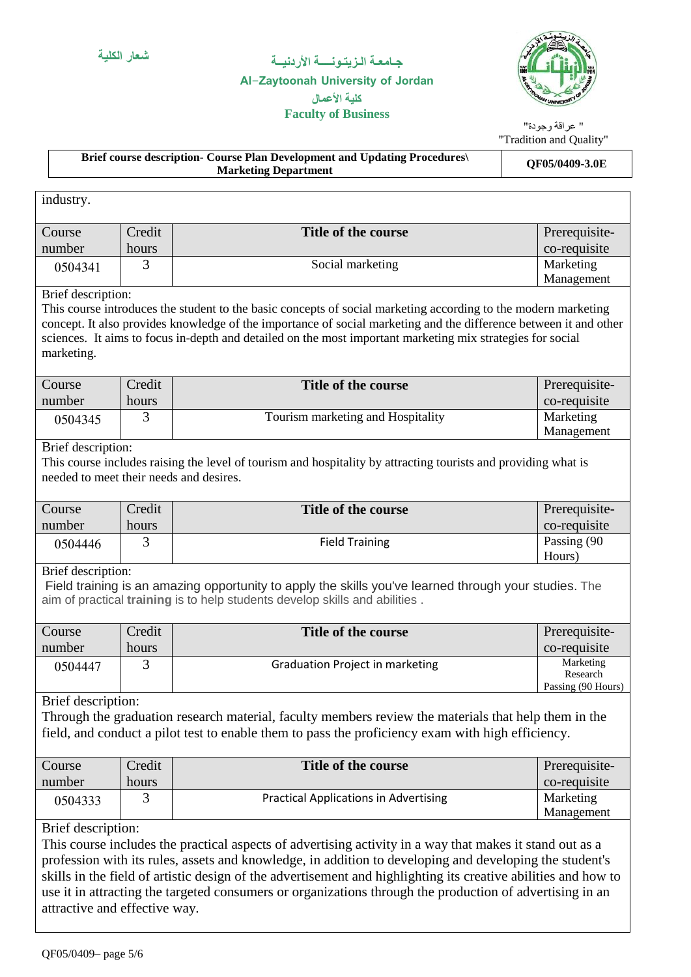### **Al-Zaytoonah University of Jordan كلية األعمال**



### **Faculty of Business**

" عراقة وجودة" "Tradition and Quality"

> Marketing Management

| <b>Brief course description- Course Plan Development and Updating Procedures</b><br><b>Marketing Department</b> |        |                     | <b>QF05/0409-3.0E</b> |  |
|-----------------------------------------------------------------------------------------------------------------|--------|---------------------|-----------------------|--|
|                                                                                                                 |        |                     |                       |  |
| industry.                                                                                                       |        |                     |                       |  |
|                                                                                                                 |        |                     |                       |  |
| Course                                                                                                          | Credit | Title of the course | Prerequisite-         |  |
| number                                                                                                          | hours  |                     | co-requisite          |  |

Brief description:

This course introduces the student to the basic concepts of social marketing according to the modern marketing concept. It also provides knowledge of the importance of social marketing and the difference between it and other sciences. It aims to focus in-depth and detailed on the most important marketing mix strategies for social marketing.

0504341 3 3 Social marketing

| Course  | Credit | Title of the course               | Prerequisite-           |
|---------|--------|-----------------------------------|-------------------------|
| number  | hours  |                                   | co-requisite            |
| 0504345 |        | Tourism marketing and Hospitality | Marketing<br>Management |
|         |        |                                   |                         |

#### Brief description:

This course includes raising the level of tourism and hospitality by attracting tourists and providing what is needed to meet their needs and desires.

| <b>Course</b> | Credit | Title of the course   | Prerequisite- |
|---------------|--------|-----------------------|---------------|
| number        | hours  |                       | co-requisite  |
| 0504446       |        | <b>Field Training</b> | Passing (90   |
|               |        |                       | Hours)        |

#### Brief description:

Field training is an amazing opportunity to apply the skills you've learned through your studies. The aim of practical **training** is to help students develop skills and abilities .

| Course  | Credit | Title of the course                    | Prerequisite-         |
|---------|--------|----------------------------------------|-----------------------|
| number  | hours  |                                        | co-requisite          |
| 0504447 |        | <b>Graduation Project in marketing</b> | Marketing<br>Research |
|         |        |                                        | Passing (90 Hours)    |

### Brief description:

Through the graduation research material, faculty members review the materials that help them in the field, and conduct a pilot test to enable them to pass the proficiency exam with high efficiency.

| Course  | Credit | Title of the course                          | Prerequisite- |
|---------|--------|----------------------------------------------|---------------|
| number  | hours  |                                              | co-requisite  |
| 0504333 |        | <b>Practical Applications in Advertising</b> | Marketing     |
|         |        |                                              | Management    |

### Brief description:

This course includes the practical aspects of advertising activity in a way that makes it stand out as a profession with its rules, assets and knowledge, in addition to developing and developing the student's skills in the field of artistic design of the advertisement and highlighting its creative abilities and how to use it in attracting the targeted consumers or organizations through the production of advertising in an attractive and effective way.